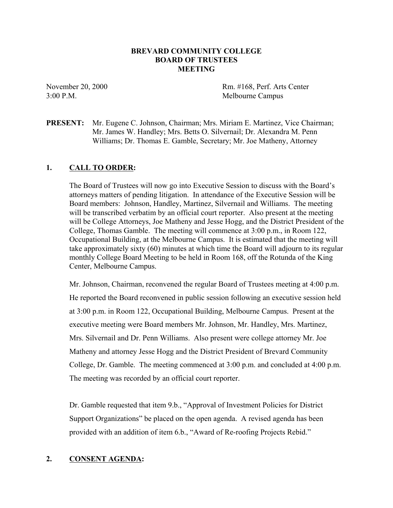## **BREVARD COMMUNITY COLLEGE BOARD OF TRUSTEES MEETING**

November 20, 2000 Rm. #168, Perf. Arts Center 3:00 P.M. Melbourne Campus

## **PRESENT:** Mr. Eugene C. Johnson, Chairman; Mrs. Miriam E. Martinez, Vice Chairman; Mr. James W. Handley; Mrs. Betts O. Silvernail; Dr. Alexandra M. Penn Williams; Dr. Thomas E. Gamble, Secretary; Mr. Joe Matheny, Attorney

## **1. CALL TO ORDER:**

The Board of Trustees will now go into Executive Session to discuss with the Board's attorneys matters of pending litigation. In attendance of the Executive Session will be Board members: Johnson, Handley, Martinez, Silvernail and Williams. The meeting will be transcribed verbatim by an official court reporter. Also present at the meeting will be College Attorneys, Joe Matheny and Jesse Hogg, and the District President of the College, Thomas Gamble. The meeting will commence at 3:00 p.m., in Room 122, Occupational Building, at the Melbourne Campus. It is estimated that the meeting will take approximately sixty (60) minutes at which time the Board will adjourn to its regular monthly College Board Meeting to be held in Room 168, off the Rotunda of the King Center, Melbourne Campus.

Mr. Johnson, Chairman, reconvened the regular Board of Trustees meeting at 4:00 p.m. He reported the Board reconvened in public session following an executive session held at 3:00 p.m. in Room 122, Occupational Building, Melbourne Campus. Present at the executive meeting were Board members Mr. Johnson, Mr. Handley, Mrs. Martinez, Mrs. Silvernail and Dr. Penn Williams. Also present were college attorney Mr. Joe Matheny and attorney Jesse Hogg and the District President of Brevard Community College, Dr. Gamble. The meeting commenced at 3:00 p.m. and concluded at 4:00 p.m. The meeting was recorded by an official court reporter.

Dr. Gamble requested that item 9.b., "Approval of Investment Policies for District Support Organizations" be placed on the open agenda. A revised agenda has been provided with an addition of item 6.b., "Award of Re-roofing Projects Rebid."

## **2. CONSENT AGENDA:**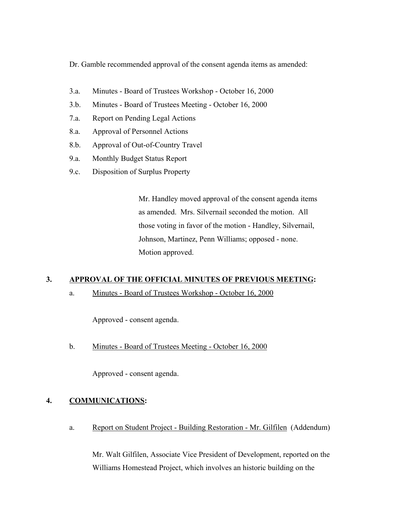Dr. Gamble recommended approval of the consent agenda items as amended:

- 3.a. Minutes Board of Trustees Workshop October 16, 2000
- 3.b. Minutes Board of Trustees Meeting October 16, 2000
- 7.a. Report on Pending Legal Actions
- 8.a. Approval of Personnel Actions
- 8.b. Approval of Out-of-Country Travel
- 9.a. Monthly Budget Status Report
- 9.c. Disposition of Surplus Property

Mr. Handley moved approval of the consent agenda items as amended. Mrs. Silvernail seconded the motion. All those voting in favor of the motion - Handley, Silvernail, Johnson, Martinez, Penn Williams; opposed - none. Motion approved.

## **3. APPROVAL OF THE OFFICIAL MINUTES OF PREVIOUS MEETING:**

a. Minutes - Board of Trustees Workshop - October 16, 2000

Approved - consent agenda.

b. Minutes - Board of Trustees Meeting - October 16, 2000

Approved - consent agenda.

## **4. COMMUNICATIONS:**

a. Report on Student Project - Building Restoration - Mr. Gilfilen (Addendum)

Mr. Walt Gilfilen, Associate Vice President of Development, reported on the Williams Homestead Project, which involves an historic building on the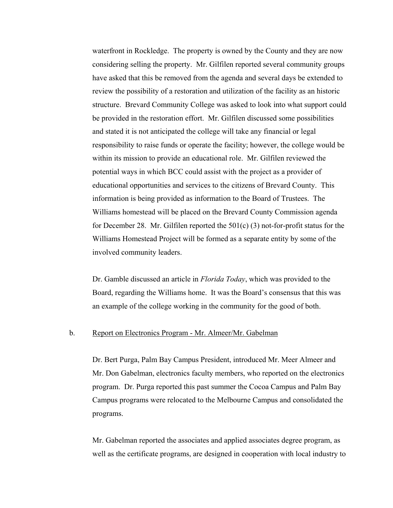waterfront in Rockledge. The property is owned by the County and they are now considering selling the property. Mr. Gilfilen reported several community groups have asked that this be removed from the agenda and several days be extended to review the possibility of a restoration and utilization of the facility as an historic structure. Brevard Community College was asked to look into what support could be provided in the restoration effort. Mr. Gilfilen discussed some possibilities and stated it is not anticipated the college will take any financial or legal responsibility to raise funds or operate the facility; however, the college would be within its mission to provide an educational role. Mr. Gilfilen reviewed the potential ways in which BCC could assist with the project as a provider of educational opportunities and services to the citizens of Brevard County. This information is being provided as information to the Board of Trustees. The Williams homestead will be placed on the Brevard County Commission agenda for December 28. Mr. Gilfilen reported the 501(c) (3) not-for-profit status for the Williams Homestead Project will be formed as a separate entity by some of the involved community leaders.

Dr. Gamble discussed an article in *Florida Today*, which was provided to the Board, regarding the Williams home. It was the Board's consensus that this was an example of the college working in the community for the good of both.

### b. Report on Electronics Program - Mr. Almeer/Mr. Gabelman

Dr. Bert Purga, Palm Bay Campus President, introduced Mr. Meer Almeer and Mr. Don Gabelman, electronics faculty members, who reported on the electronics program. Dr. Purga reported this past summer the Cocoa Campus and Palm Bay Campus programs were relocated to the Melbourne Campus and consolidated the programs.

Mr. Gabelman reported the associates and applied associates degree program, as well as the certificate programs, are designed in cooperation with local industry to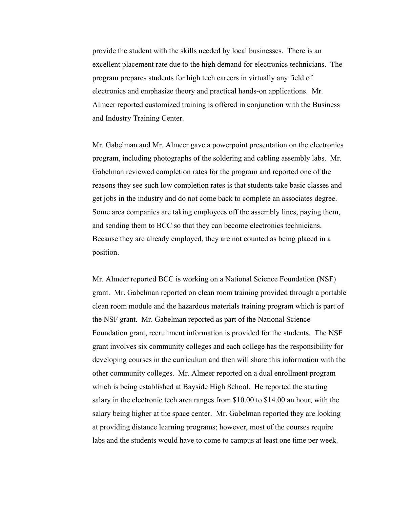provide the student with the skills needed by local businesses. There is an excellent placement rate due to the high demand for electronics technicians. The program prepares students for high tech careers in virtually any field of electronics and emphasize theory and practical hands-on applications. Mr. Almeer reported customized training is offered in conjunction with the Business and Industry Training Center.

Mr. Gabelman and Mr. Almeer gave a powerpoint presentation on the electronics program, including photographs of the soldering and cabling assembly labs. Mr. Gabelman reviewed completion rates for the program and reported one of the reasons they see such low completion rates is that students take basic classes and get jobs in the industry and do not come back to complete an associates degree. Some area companies are taking employees off the assembly lines, paying them, and sending them to BCC so that they can become electronics technicians. Because they are already employed, they are not counted as being placed in a position.

Mr. Almeer reported BCC is working on a National Science Foundation (NSF) grant. Mr. Gabelman reported on clean room training provided through a portable clean room module and the hazardous materials training program which is part of the NSF grant. Mr. Gabelman reported as part of the National Science Foundation grant, recruitment information is provided for the students. The NSF grant involves six community colleges and each college has the responsibility for developing courses in the curriculum and then will share this information with the other community colleges. Mr. Almeer reported on a dual enrollment program which is being established at Bayside High School. He reported the starting salary in the electronic tech area ranges from \$10.00 to \$14.00 an hour, with the salary being higher at the space center. Mr. Gabelman reported they are looking at providing distance learning programs; however, most of the courses require labs and the students would have to come to campus at least one time per week.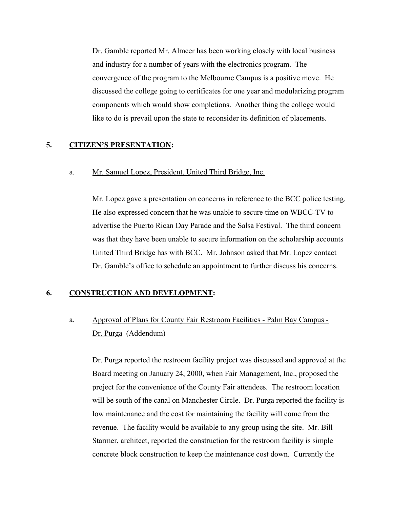Dr. Gamble reported Mr. Almeer has been working closely with local business and industry for a number of years with the electronics program. The convergence of the program to the Melbourne Campus is a positive move. He discussed the college going to certificates for one year and modularizing program components which would show completions. Another thing the college would like to do is prevail upon the state to reconsider its definition of placements.

## **5. CITIZEN'S PRESENTATION:**

### a. Mr. Samuel Lopez, President, United Third Bridge, Inc.

Mr. Lopez gave a presentation on concerns in reference to the BCC police testing. He also expressed concern that he was unable to secure time on WBCC-TV to advertise the Puerto Rican Day Parade and the Salsa Festival. The third concern was that they have been unable to secure information on the scholarship accounts United Third Bridge has with BCC. Mr. Johnson asked that Mr. Lopez contact Dr. Gamble's office to schedule an appointment to further discuss his concerns.

### **6. CONSTRUCTION AND DEVELOPMENT:**

# a. Approval of Plans for County Fair Restroom Facilities - Palm Bay Campus - Dr. Purga (Addendum)

Dr. Purga reported the restroom facility project was discussed and approved at the Board meeting on January 24, 2000, when Fair Management, Inc., proposed the project for the convenience of the County Fair attendees. The restroom location will be south of the canal on Manchester Circle. Dr. Purga reported the facility is low maintenance and the cost for maintaining the facility will come from the revenue. The facility would be available to any group using the site. Mr. Bill Starmer, architect, reported the construction for the restroom facility is simple concrete block construction to keep the maintenance cost down. Currently the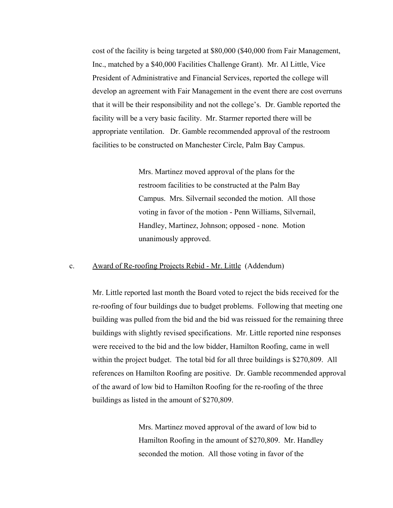cost of the facility is being targeted at \$80,000 (\$40,000 from Fair Management, Inc., matched by a \$40,000 Facilities Challenge Grant). Mr. Al Little, Vice President of Administrative and Financial Services, reported the college will develop an agreement with Fair Management in the event there are cost overruns that it will be their responsibility and not the college's. Dr. Gamble reported the facility will be a very basic facility. Mr. Starmer reported there will be appropriate ventilation. Dr. Gamble recommended approval of the restroom facilities to be constructed on Manchester Circle, Palm Bay Campus.

> Mrs. Martinez moved approval of the plans for the restroom facilities to be constructed at the Palm Bay Campus. Mrs. Silvernail seconded the motion. All those voting in favor of the motion - Penn Williams, Silvernail, Handley, Martinez, Johnson; opposed - none. Motion unanimously approved.

### c. Award of Re-roofing Projects Rebid - Mr. Little (Addendum)

Mr. Little reported last month the Board voted to reject the bids received for the re-roofing of four buildings due to budget problems. Following that meeting one building was pulled from the bid and the bid was reissued for the remaining three buildings with slightly revised specifications. Mr. Little reported nine responses were received to the bid and the low bidder, Hamilton Roofing, came in well within the project budget. The total bid for all three buildings is \$270,809. All references on Hamilton Roofing are positive. Dr. Gamble recommended approval of the award of low bid to Hamilton Roofing for the re-roofing of the three buildings as listed in the amount of \$270,809.

> Mrs. Martinez moved approval of the award of low bid to Hamilton Roofing in the amount of \$270,809. Mr. Handley seconded the motion. All those voting in favor of the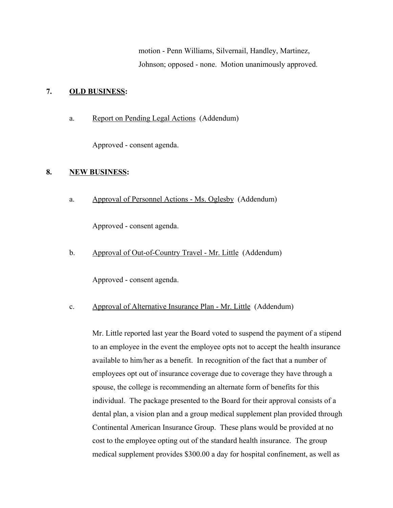motion - Penn Williams, Silvernail, Handley, Martinez, Johnson; opposed - none. Motion unanimously approved.

## **7. OLD BUSINESS:**

a. Report on Pending Legal Actions (Addendum)

Approved - consent agenda.

## **8. NEW BUSINESS:**

a. Approval of Personnel Actions - Ms. Oglesby (Addendum)

Approved - consent agenda.

b. Approval of Out-of-Country Travel - Mr. Little (Addendum)

Approved - consent agenda.

## c. Approval of Alternative Insurance Plan - Mr. Little (Addendum)

Mr. Little reported last year the Board voted to suspend the payment of a stipend to an employee in the event the employee opts not to accept the health insurance available to him/her as a benefit. In recognition of the fact that a number of employees opt out of insurance coverage due to coverage they have through a spouse, the college is recommending an alternate form of benefits for this individual. The package presented to the Board for their approval consists of a dental plan, a vision plan and a group medical supplement plan provided through Continental American Insurance Group. These plans would be provided at no cost to the employee opting out of the standard health insurance. The group medical supplement provides \$300.00 a day for hospital confinement, as well as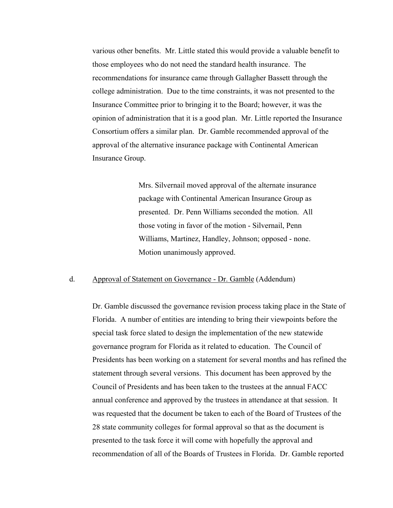various other benefits. Mr. Little stated this would provide a valuable benefit to those employees who do not need the standard health insurance. The recommendations for insurance came through Gallagher Bassett through the college administration. Due to the time constraints, it was not presented to the Insurance Committee prior to bringing it to the Board; however, it was the opinion of administration that it is a good plan. Mr. Little reported the Insurance Consortium offers a similar plan. Dr. Gamble recommended approval of the approval of the alternative insurance package with Continental American Insurance Group.

> Mrs. Silvernail moved approval of the alternate insurance package with Continental American Insurance Group as presented. Dr. Penn Williams seconded the motion. All those voting in favor of the motion - Silvernail, Penn Williams, Martinez, Handley, Johnson; opposed - none. Motion unanimously approved.

### d. Approval of Statement on Governance - Dr. Gamble (Addendum)

Dr. Gamble discussed the governance revision process taking place in the State of Florida. A number of entities are intending to bring their viewpoints before the special task force slated to design the implementation of the new statewide governance program for Florida as it related to education. The Council of Presidents has been working on a statement for several months and has refined the statement through several versions. This document has been approved by the Council of Presidents and has been taken to the trustees at the annual FACC annual conference and approved by the trustees in attendance at that session. It was requested that the document be taken to each of the Board of Trustees of the 28 state community colleges for formal approval so that as the document is presented to the task force it will come with hopefully the approval and recommendation of all of the Boards of Trustees in Florida. Dr. Gamble reported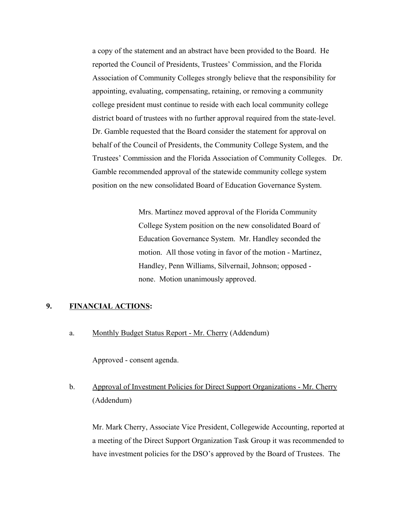a copy of the statement and an abstract have been provided to the Board. He reported the Council of Presidents, Trustees' Commission, and the Florida Association of Community Colleges strongly believe that the responsibility for appointing, evaluating, compensating, retaining, or removing a community college president must continue to reside with each local community college district board of trustees with no further approval required from the state-level. Dr. Gamble requested that the Board consider the statement for approval on behalf of the Council of Presidents, the Community College System, and the Trustees' Commission and the Florida Association of Community Colleges. Dr. Gamble recommended approval of the statewide community college system position on the new consolidated Board of Education Governance System.

> Mrs. Martinez moved approval of the Florida Community College System position on the new consolidated Board of Education Governance System. Mr. Handley seconded the motion. All those voting in favor of the motion - Martinez, Handley, Penn Williams, Silvernail, Johnson; opposed none. Motion unanimously approved.

## **9. FINANCIAL ACTIONS:**

a. Monthly Budget Status Report - Mr. Cherry (Addendum)

Approved - consent agenda.

# b. Approval of Investment Policies for Direct Support Organizations - Mr. Cherry (Addendum)

Mr. Mark Cherry, Associate Vice President, Collegewide Accounting, reported at a meeting of the Direct Support Organization Task Group it was recommended to have investment policies for the DSO's approved by the Board of Trustees. The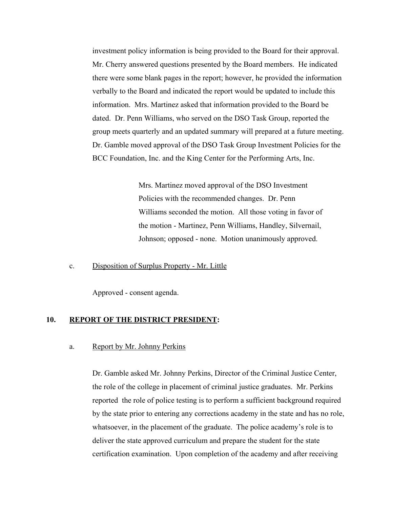investment policy information is being provided to the Board for their approval. Mr. Cherry answered questions presented by the Board members. He indicated there were some blank pages in the report; however, he provided the information verbally to the Board and indicated the report would be updated to include this information. Mrs. Martinez asked that information provided to the Board be dated. Dr. Penn Williams, who served on the DSO Task Group, reported the group meets quarterly and an updated summary will prepared at a future meeting. Dr. Gamble moved approval of the DSO Task Group Investment Policies for the BCC Foundation, Inc. and the King Center for the Performing Arts, Inc.

> Mrs. Martinez moved approval of the DSO Investment Policies with the recommended changes. Dr. Penn Williams seconded the motion. All those voting in favor of the motion - Martinez, Penn Williams, Handley, Silvernail, Johnson; opposed - none. Motion unanimously approved.

### c. Disposition of Surplus Property - Mr. Little

Approved - consent agenda.

### **10. REPORT OF THE DISTRICT PRESIDENT:**

#### a. Report by Mr. Johnny Perkins

Dr. Gamble asked Mr. Johnny Perkins, Director of the Criminal Justice Center, the role of the college in placement of criminal justice graduates. Mr. Perkins reported the role of police testing is to perform a sufficient background required by the state prior to entering any corrections academy in the state and has no role, whatsoever, in the placement of the graduate. The police academy's role is to deliver the state approved curriculum and prepare the student for the state certification examination. Upon completion of the academy and after receiving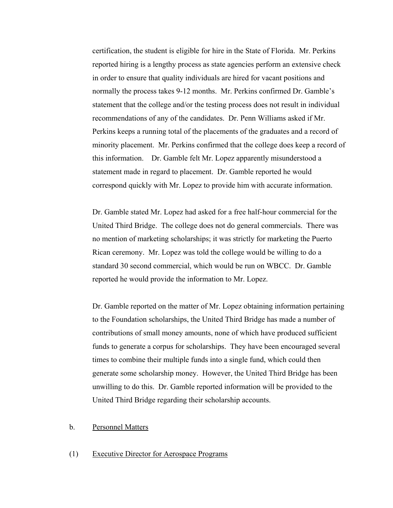certification, the student is eligible for hire in the State of Florida. Mr. Perkins reported hiring is a lengthy process as state agencies perform an extensive check in order to ensure that quality individuals are hired for vacant positions and normally the process takes 9-12 months. Mr. Perkins confirmed Dr. Gamble's statement that the college and/or the testing process does not result in individual recommendations of any of the candidates. Dr. Penn Williams asked if Mr. Perkins keeps a running total of the placements of the graduates and a record of minority placement. Mr. Perkins confirmed that the college does keep a record of this information. Dr. Gamble felt Mr. Lopez apparently misunderstood a statement made in regard to placement. Dr. Gamble reported he would correspond quickly with Mr. Lopez to provide him with accurate information.

Dr. Gamble stated Mr. Lopez had asked for a free half-hour commercial for the United Third Bridge. The college does not do general commercials. There was no mention of marketing scholarships; it was strictly for marketing the Puerto Rican ceremony. Mr. Lopez was told the college would be willing to do a standard 30 second commercial, which would be run on WBCC. Dr. Gamble reported he would provide the information to Mr. Lopez.

Dr. Gamble reported on the matter of Mr. Lopez obtaining information pertaining to the Foundation scholarships, the United Third Bridge has made a number of contributions of small money amounts, none of which have produced sufficient funds to generate a corpus for scholarships. They have been encouraged several times to combine their multiple funds into a single fund, which could then generate some scholarship money. However, the United Third Bridge has been unwilling to do this. Dr. Gamble reported information will be provided to the United Third Bridge regarding their scholarship accounts.

### b. Personnel Matters

### (1) Executive Director for Aerospace Programs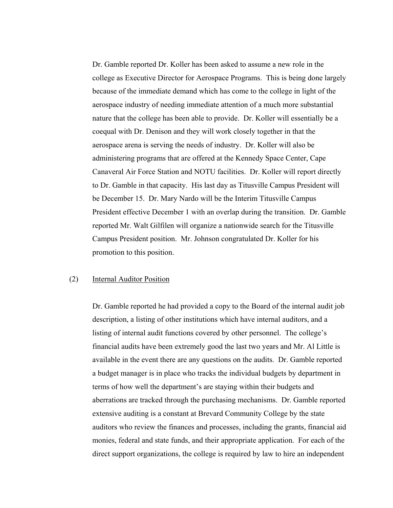Dr. Gamble reported Dr. Koller has been asked to assume a new role in the college as Executive Director for Aerospace Programs. This is being done largely because of the immediate demand which has come to the college in light of the aerospace industry of needing immediate attention of a much more substantial nature that the college has been able to provide. Dr. Koller will essentially be a coequal with Dr. Denison and they will work closely together in that the aerospace arena is serving the needs of industry. Dr. Koller will also be administering programs that are offered at the Kennedy Space Center, Cape Canaveral Air Force Station and NOTU facilities. Dr. Koller will report directly to Dr. Gamble in that capacity. His last day as Titusville Campus President will be December 15. Dr. Mary Nardo will be the Interim Titusville Campus President effective December 1 with an overlap during the transition. Dr. Gamble reported Mr. Walt Gilfilen will organize a nationwide search for the Titusville Campus President position. Mr. Johnson congratulated Dr. Koller for his promotion to this position.

### (2) Internal Auditor Position

Dr. Gamble reported he had provided a copy to the Board of the internal audit job description, a listing of other institutions which have internal auditors, and a listing of internal audit functions covered by other personnel. The college's financial audits have been extremely good the last two years and Mr. Al Little is available in the event there are any questions on the audits. Dr. Gamble reported a budget manager is in place who tracks the individual budgets by department in terms of how well the department's are staying within their budgets and aberrations are tracked through the purchasing mechanisms. Dr. Gamble reported extensive auditing is a constant at Brevard Community College by the state auditors who review the finances and processes, including the grants, financial aid monies, federal and state funds, and their appropriate application. For each of the direct support organizations, the college is required by law to hire an independent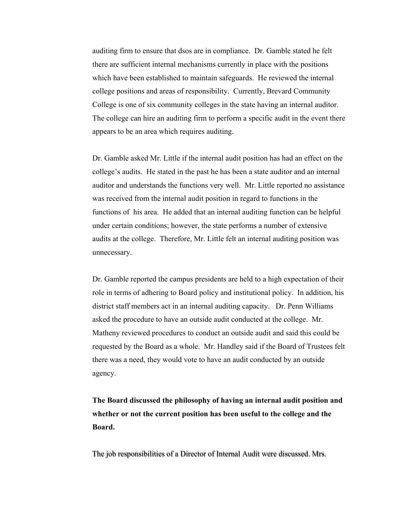auditing firm to ensure that dsos are in compliance. Dr. Gamble stated he felt there are sufficient internal mechanisms currently in place with the positions which have been established to maintain safeguards. He reviewed the internal college positions and areas of responsibility. Currently, Brevard Community College is one of six community colleges in the state having an internal auditor. The college can hire an auditing firm to perform a specific audit in the event there appears to be an area which requires auditing.

Dr. Gamble asked Mr. Little if the internal audit position has had an effect on the college's audits. He stated in the past he has been a state auditor and an internal auditor and understands the functions very well. Mr. Little reported no assistance was received from the internal audit position in regard to functions in the functions of his area. He added that an internal auditing function can be helpful under certain conditions; however, the state performs a number of extensive audits at the college. Therefore, Mr. Little felt an internal auditing position was unnecessary.

Dr. Gamble reported the campus presidents are held to a high expectation of their role in terms of adhering to Board policy and institutional policy. In addition, his district staff members act in an internal auditing capacity. Dr. Penn Williams asked the procedure to have an outside audit conducted at the college. Mr. Matheny reviewed procedures to conduct an outside audit and said this could be requested by the Board as a whole. Mr. Handley said if the Board of Trustees felt there was a need, they would vote to have an audit conducted by an outside agency.

**The Board discussed the philosophy of having an internal audit position and whether or not the current position has been useful to the college and the Board.**

The job responsibilities of a Director of Internal Audit were discussed. Mrs. The job responsibilities of a Director of Internal Audit were discussed. Mrs.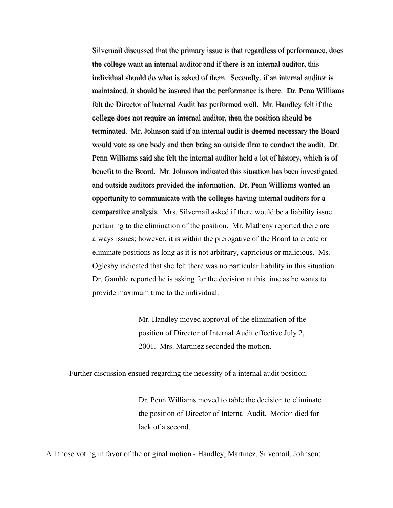Silvernail discussed that the primary issue is that regardless of performance, does the college want an internal auditor and if there is an internal auditor, this individual should do what is asked of them. Secondly, if an internal auditor is maintained, it should be insured that the performance is there. Dr. Penn Williams maintained, it should be insured that the performance is there. Dr. Penn Williams felt the Director of Internal Audit has performed well. Mr. Handley felt if the college does not require an internal auditor, then the position should be terminated. Mr. Johnson said if an internal audit is deemed necessary the Board would vote as one body and then bring an outside firm to conduct the audit. Dr. Penn Williams said she felt the internal auditor held a lot of history, which is of benefit to the Board. Mr. Johnson indicated this situation has been investigated and outside auditors provided the information. Dr. Penn Williams wanted an opportunity to communicate with the colleges having internal auditors for a comparative analysis. Mrs. Silvernail asked if there would be a liability issue pertaining to the elimination of the position. Mr. Matheny reported there are always issues; however, it is within the prerogative of the Board to create or eliminate positions as long as it is not arbitrary, capricious or malicious. Ms. Oglesby indicated that she felt there was no particular liability in this situation. Dr. Gamble reported he is asking for the decision at this time as he wants to provide maximum time to the individual.

> Mr. Handley moved approval of the elimination of the position of Director of Internal Audit effective July 2, 2001. Mrs. Martinez seconded the motion.

Further discussion ensued regarding the necessity of a internal audit position.

Dr. Penn Williams moved to table the decision to eliminate the position of Director of Internal Audit. Motion died for lack of a second.

All those voting in favor of the original motion - Handley, Martinez, Silvernail, Johnson;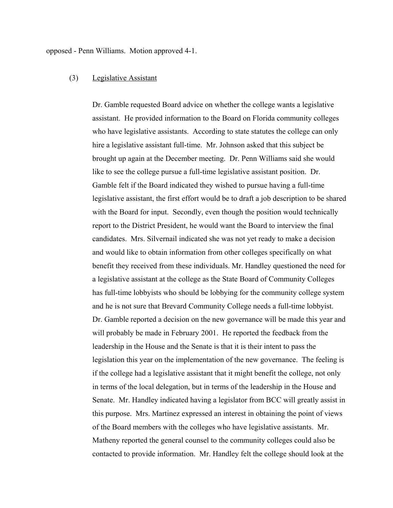### opposed - Penn Williams. Motion approved 4-1.

### (3) Legislative Assistant

Dr. Gamble requested Board advice on whether the college wants a legislative assistant. He provided information to the Board on Florida community colleges who have legislative assistants. According to state statutes the college can only hire a legislative assistant full-time. Mr. Johnson asked that this subject be brought up again at the December meeting. Dr. Penn Williams said she would like to see the college pursue a full-time legislative assistant position. Dr. Gamble felt if the Board indicated they wished to pursue having a full-time legislative assistant, the first effort would be to draft a job description to be shared with the Board for input. Secondly, even though the position would technically report to the District President, he would want the Board to interview the final candidates. Mrs. Silvernail indicated she was not yet ready to make a decision and would like to obtain information from other colleges specifically on what benefit they received from these individuals. Mr. Handley questioned the need for a legislative assistant at the college as the State Board of Community Colleges has full-time lobbyists who should be lobbying for the community college system and he is not sure that Brevard Community College needs a full-time lobbyist. Dr. Gamble reported a decision on the new governance will be made this year and will probably be made in February 2001. He reported the feedback from the leadership in the House and the Senate is that it is their intent to pass the legislation this year on the implementation of the new governance. The feeling is if the college had a legislative assistant that it might benefit the college, not only in terms of the local delegation, but in terms of the leadership in the House and Senate. Mr. Handley indicated having a legislator from BCC will greatly assist in this purpose. Mrs. Martinez expressed an interest in obtaining the point of views of the Board members with the colleges who have legislative assistants. Mr. Matheny reported the general counsel to the community colleges could also be contacted to provide information. Mr. Handley felt the college should look at the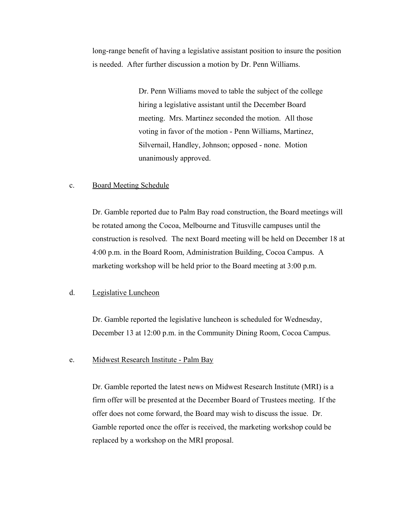long-range benefit of having a legislative assistant position to insure the position is needed. After further discussion a motion by Dr. Penn Williams.

> Dr. Penn Williams moved to table the subject of the college hiring a legislative assistant until the December Board meeting. Mrs. Martinez seconded the motion. All those voting in favor of the motion - Penn Williams, Martinez, Silvernail, Handley, Johnson; opposed - none. Motion unanimously approved.

### c. Board Meeting Schedule

Dr. Gamble reported due to Palm Bay road construction, the Board meetings will be rotated among the Cocoa, Melbourne and Titusville campuses until the construction is resolved. The next Board meeting will be held on December 18 at 4:00 p.m. in the Board Room, Administration Building, Cocoa Campus. A marketing workshop will be held prior to the Board meeting at 3:00 p.m.

#### d. Legislative Luncheon

Dr. Gamble reported the legislative luncheon is scheduled for Wednesday, December 13 at 12:00 p.m. in the Community Dining Room, Cocoa Campus.

### e. Midwest Research Institute - Palm Bay

Dr. Gamble reported the latest news on Midwest Research Institute (MRI) is a firm offer will be presented at the December Board of Trustees meeting. If the offer does not come forward, the Board may wish to discuss the issue. Dr. Gamble reported once the offer is received, the marketing workshop could be replaced by a workshop on the MRI proposal.